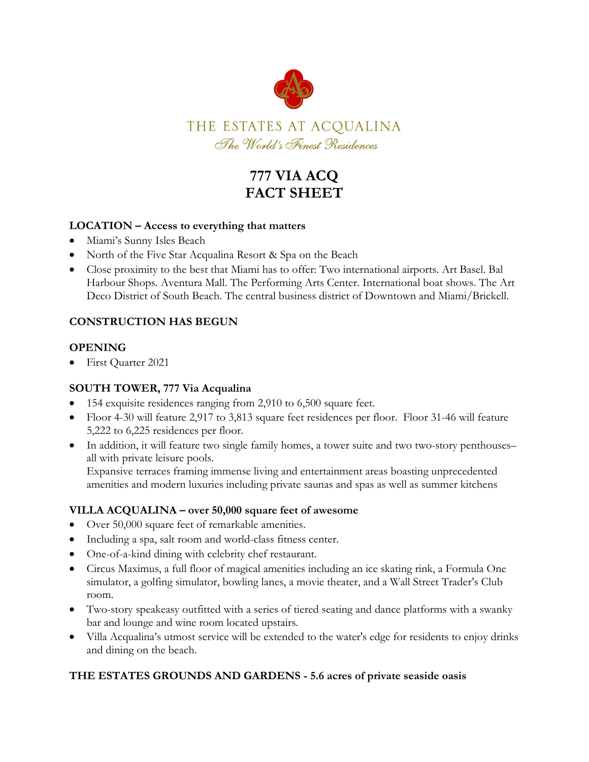

# **777 VIA ACQ FACT SHEET**

# **LOCATION – Access to everything that matters**

- Miami's Sunny Isles Beach
- North of the Five Star Acqualina Resort & Spa on the Beach
- Close proximity to the best that Miami has to offer: Two international airports. Art Basel. Bal Harbour Shops. Aventura Mall. The Performing Arts Center. International boat shows. The Art Deco District of South Beach. The central business district of Downtown and Miami/Brickell.

#### **CONSTRUCTION HAS BEGUN**

#### **OPENING**

First Quarter 2021

#### **SOUTH TOWER, 777 Via Acqualina**

- 154 exquisite residences ranging from 2,910 to 6,500 square feet.
- Floor 4-30 will feature 2,917 to 3,813 square feet residences per floor. Floor 31-46 will feature 5,222 to 6,225 residences per floor.
- In addition, it will feature two single family homes, a tower suite and two two-story penthouses– all with private leisure pools.

Expansive terraces framing immense living and entertainment areas boasting unprecedented amenities and modern luxuries including private saunas and spas as well as summer kitchens

#### **VILLA ACQUALINA – over 50,000 square feet of awesome**

- Over 50,000 square feet of remarkable amenities.
- Including a spa, salt room and world-class fitness center.
- One-of-a-kind dining with celebrity chef restaurant.
- Circus Maximus, a full floor of magical amenities including an ice skating rink, a Formula One simulator, a golfing simulator, bowling lanes, a movie theater, and a Wall Street Trader's Club room.
- Two-story speakeasy outfitted with a series of tiered seating and dance platforms with a swanky bar and lounge and wine room located upstairs.
- Villa Acqualina's utmost service will be extended to the water's edge for residents to enjoy drinks and dining on the beach.

#### **THE ESTATES GROUNDS AND GARDENS - 5.6 acres of private seaside oasis**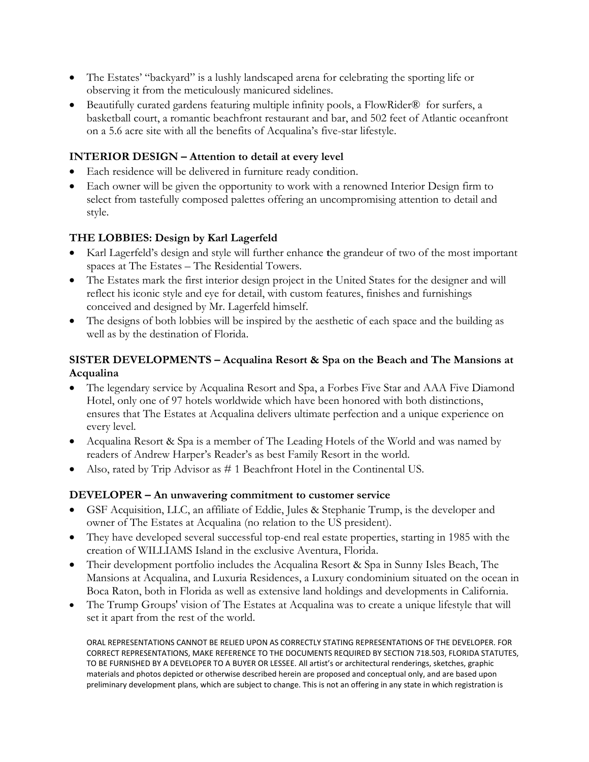- The Estates' "backyard" is a lushly landscaped arena for celebrating the sporting life or observing it from the meticulously manicured sidelines.
- Beautifully curated gardens featuring multiple infinity pools, a FlowRider<sup>®</sup> for surfers, a basketball court, a romantic beachfront restaurant and bar, and 502 feet of Atlantic oceanfront on a 5.6 acre site with all the benefits of Acqualina's five-star lifestyle.

# **INTERIOR DESIGN – Attention to detail at every level**

- Each residence will be delivered in furniture ready condition.
- Each owner will be given the opportunity to work with a renowned Interior Design firm to select from tastefully composed palettes offering an uncompromising attention to detail and style.

# **THE LOBBIES: Design by Karl Lagerfeld**

- Karl Lagerfeld's design and style will further enhance **t**he grandeur of two of the most important spaces at The Estates – The Residential Towers.
- The Estates mark the first interior design project in the United States for the designer and will reflect his iconic style and eye for detail, with custom features, finishes and furnishings conceived and designed by Mr. Lagerfeld himself.
- The designs of both lobbies will be inspired by the aesthetic of each space and the building as well as by the destination of Florida.

# **SISTER DEVELOPMENTS – Acqualina Resort & Spa on the Beach and The Mansions at Acqualina**

- The legendary service by Acqualina Resort and Spa, a Forbes Five Star and AAA Five Diamond Hotel, only one of 97 hotels worldwide which have been honored with both distinctions, ensures that The Estates at Acqualina delivers ultimate perfection and a unique experience on every level.
- Acqualina Resort & Spa is a member of The Leading Hotels of the World and was named by readers of Andrew Harper's Reader's as best Family Resort in the world.
- Also, rated by Trip Advisor as # 1 Beachfront Hotel in the Continental US.

#### **DEVELOPER – An unwavering commitment to customer service**

- GSF Acquisition, LLC, an affiliate of Eddie, Jules & Stephanie Trump, is the developer and owner of The Estates at Acqualina (no relation to the US president).
- They have developed several successful top-end real estate properties, starting in 1985 with the creation of WILLIAMS Island in the exclusive Aventura, Florida.
- Their development portfolio includes the Acqualina Resort & Spa in Sunny Isles Beach, The Mansions at Acqualina, and Luxuria Residences, a Luxury condominium situated on the ocean in Boca Raton, both in Florida as well as extensive land holdings and developments in California.
- The Trump Groups' vision of The Estates at Acqualina was to create a unique lifestyle that will set it apart from the rest of the world.

ORAL REPRESENTATIONS CANNOT BE RELIED UPON AS CORRECTLY STATING REPRESENTATIONS OF THE DEVELOPER. FOR CORRECT REPRESENTATIONS, MAKE REFERENCE TO THE DOCUMENTS REQUIRED BY SECTION 718.503, FLORIDA STATUTES, TO BE FURNISHED BY A DEVELOPER TO A BUYER OR LESSEE. All artist's or architectural renderings, sketches, graphic materials and photos depicted or otherwise described herein are proposed and conceptual only, and are based upon preliminary development plans, which are subject to change. This is not an offering in any state in which registration is